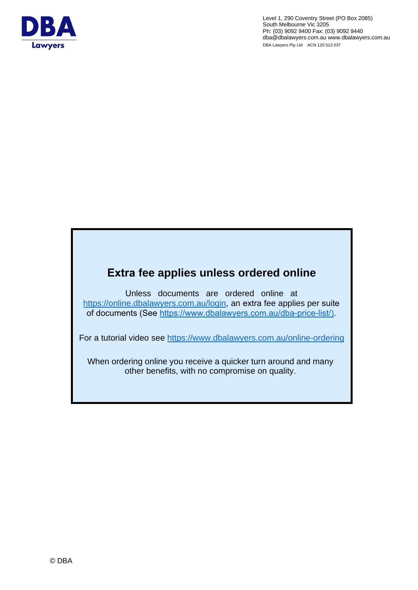

Level 1, 290 Coventry Street (PO Box 2085) South Melbourne Vic 3205 Ph: (03) 9092 9400 Fax: (03) 9092 9440 dba@dbalawyers.com.au www.dbalawyers.com.au DBA Lawyers Pty Ltd ACN 120 513 037

# **Extra fee applies un[less ordered online](https://online.dbalawyers.com.au/login)**

Unless documents are ordered online at https://online.dbalawyers.com.au/login, an extra fee applies per suite of documents (S[ee https://www.dbalawyers.com.au/dba-price-list/\)](https://www.dbalawyers.com.au/online-ordering/).

For a tutorial video see https://www.dbalawyers.com.au/online-ordering

When ordering online you receive a quicker turn around and many other benefits, with no compromise on quality.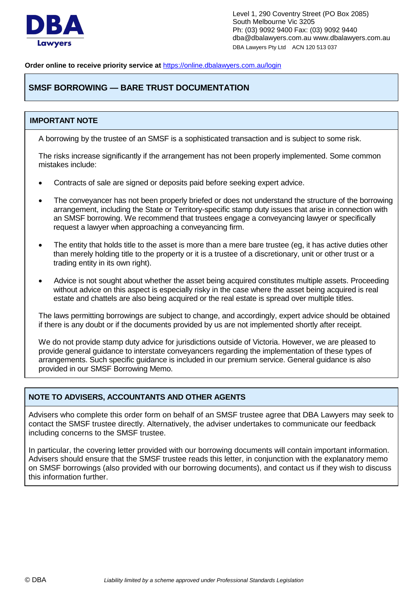

**Order online to receive priority service at** <https://online.dbalawyers.com.au/login>

# **SMSF BORROWING — BARE TRUST DOCUMENTATION**

# **IMPORTANT NOTE**

A borrowing by the trustee of an SMSF is a sophisticated transaction and is subject to some risk.

The risks increase significantly if the arrangement has not been properly implemented. Some common mistakes include:

- Contracts of sale are signed or deposits paid before seeking expert advice.
- The conveyancer has not been properly briefed or does not understand the structure of the borrowing arrangement, including the State or Territory-specific stamp duty issues that arise in connection with an SMSF borrowing. We recommend that trustees engage a conveyancing lawyer or specifically request a lawyer when approaching a conveyancing firm.
- The entity that holds title to the asset is more than a mere bare trustee (eg, it has active duties other than merely holding title to the property or it is a trustee of a discretionary, unit or other trust or a trading entity in its own right).
- Advice is not sought about whether the asset being acquired constitutes multiple assets. Proceeding without advice on this aspect is especially risky in the case where the asset being acquired is real estate and chattels are also being acquired or the real estate is spread over multiple titles.

The laws permitting borrowings are subject to change, and accordingly, expert advice should be obtained if there is any doubt or if the documents provided by us are not implemented shortly after receipt.

We do not provide stamp duty advice for jurisdictions outside of Victoria. However, we are pleased to provide general guidance to interstate conveyancers regarding the implementation of these types of arrangements. Such specific guidance is included in our premium service. General guidance is also provided in our SMSF Borrowing Memo.

## **NOTE TO ADVISERS, ACCOUNTANTS AND OTHER AGENTS**

Advisers who complete this order form on behalf of an SMSF trustee agree that DBA Lawyers may seek to contact the SMSF trustee directly. Alternatively, the adviser undertakes to communicate our feedback including concerns to the SMSF trustee.

In particular, the covering letter provided with our borrowing documents will contain important information. Advisers should ensure that the SMSF trustee reads this letter, in conjunction with the explanatory memo on SMSF borrowings (also provided with our borrowing documents), and contact us if they wish to discuss this information further.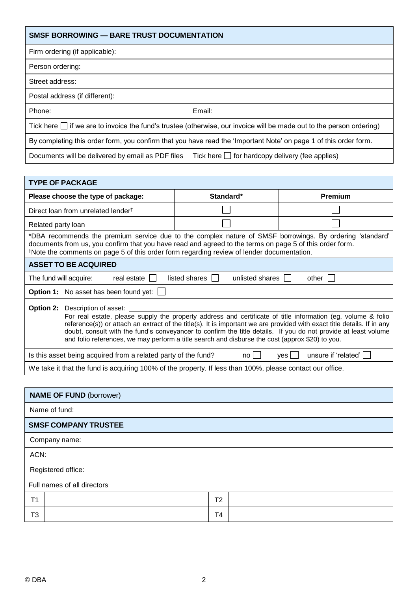| <b>SMSF BORROWING — BARE TRUST DOCUMENTATION</b>                                                                          |        |  |  |
|---------------------------------------------------------------------------------------------------------------------------|--------|--|--|
| Firm ordering (if applicable):                                                                                            |        |  |  |
| Person ordering:                                                                                                          |        |  |  |
| Street address:                                                                                                           |        |  |  |
| Postal address (if different):                                                                                            |        |  |  |
| Phone:                                                                                                                    | Email: |  |  |
| Tick here $\Box$ if we are to invoice the fund's trustee (otherwise, our invoice will be made out to the person ordering) |        |  |  |
| By completing this order form, you confirm that you have read the 'Important Note' on page 1 of this order form.          |        |  |  |
| Tick here $\Box$ for hardcopy delivery (fee applies)<br>Documents will be delivered by email as PDF files                 |        |  |  |

| <b>TYPE OF PACKAGE</b>                                                                                                                                                                                                                                                                                                                                                                                                                                       |           |         |  |  |
|--------------------------------------------------------------------------------------------------------------------------------------------------------------------------------------------------------------------------------------------------------------------------------------------------------------------------------------------------------------------------------------------------------------------------------------------------------------|-----------|---------|--|--|
| Please choose the type of package:                                                                                                                                                                                                                                                                                                                                                                                                                           | Standard* | Premium |  |  |
| Direct loan from unrelated lender <sup>†</sup>                                                                                                                                                                                                                                                                                                                                                                                                               |           |         |  |  |
| Related party loan                                                                                                                                                                                                                                                                                                                                                                                                                                           |           |         |  |  |
| *DBA recommends the premium service due to the complex nature of SMSF borrowings. By ordering 'standard'<br>documents from us, you confirm that you have read and agreed to the terms on page 5 of this order form.<br>*Note the comments on page 5 of this order form regarding review of lender documentation.                                                                                                                                             |           |         |  |  |
| <b>ASSET TO BE ACQUIRED</b>                                                                                                                                                                                                                                                                                                                                                                                                                                  |           |         |  |  |
| listed shares $  \cdot  $<br>unlisted shares  <br>The fund will acquire:<br>real estate    <br>$other$ $\vert \vert$                                                                                                                                                                                                                                                                                                                                         |           |         |  |  |
| <b>Option 1:</b> No asset has been found yet:                                                                                                                                                                                                                                                                                                                                                                                                                |           |         |  |  |
| <b>Option 2:</b> Description of asset:                                                                                                                                                                                                                                                                                                                                                                                                                       |           |         |  |  |
| For real estate, please supply the property address and certificate of title information (eg, volume & folio<br>reference(s)) or attach an extract of the title(s). It is important we are provided with exact title details. If in any<br>doubt, consult with the fund's conveyancer to confirm the title details. If you do not provide at least volume<br>and folio references, we may perform a title search and disburse the cost (approx \$20) to you. |           |         |  |  |
| unsure if 'related'<br>Is this asset being acquired from a related party of the fund?<br>no l<br>ves l                                                                                                                                                                                                                                                                                                                                                       |           |         |  |  |
| We take it that the fund is acquiring 100% of the property. If less than 100%, please contact our office.                                                                                                                                                                                                                                                                                                                                                    |           |         |  |  |

| <b>NAME OF FUND (borrower)</b> |               |                |  |  |
|--------------------------------|---------------|----------------|--|--|
|                                | Name of fund: |                |  |  |
| <b>SMSF COMPANY TRUSTEE</b>    |               |                |  |  |
| Company name:                  |               |                |  |  |
| ACN:                           |               |                |  |  |
| Registered office:             |               |                |  |  |
| Full names of all directors    |               |                |  |  |
| T <sub>1</sub>                 |               | T <sub>2</sub> |  |  |
| T3                             |               | T4             |  |  |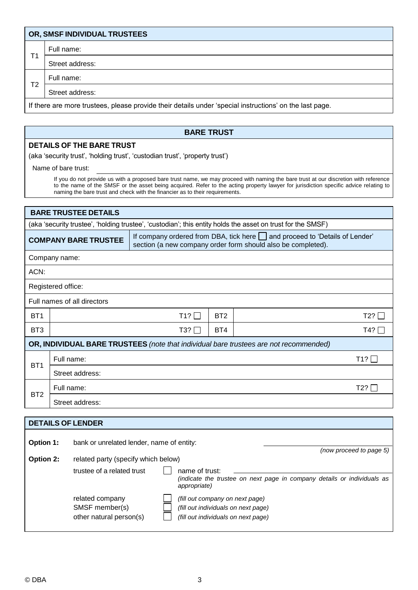|    | OR, SMSF INDIVIDUAL TRUSTEES                                                                            |
|----|---------------------------------------------------------------------------------------------------------|
| Τ1 | Full name:                                                                                              |
|    | Street address:                                                                                         |
| T2 | Full name:                                                                                              |
|    | Street address:                                                                                         |
|    | If there are more trustees, please provide their details under 'special instructions' on the last page. |

## **BARE TRUST**

#### **DETAILS OF THE BARE TRUST**

(aka 'security trust', 'holding trust', 'custodian trust', 'property trust')

Name of bare trust:

If you do not provide us with a proposed bare trust name, we may proceed with naming the bare trust at our discretion with reference to the name of the SMSF or the asset being acquired. Refer to the acting property lawyer for jurisdiction specific advice relating to naming the bare trust and check with the financier as to their requirements.

| <b>BARE TRUSTEE DETAILS</b>                                                                                 |                                                                                                                                                                                 |            |                 |            |
|-------------------------------------------------------------------------------------------------------------|---------------------------------------------------------------------------------------------------------------------------------------------------------------------------------|------------|-----------------|------------|
| (aka 'security trustee', 'holding trustee', 'custodian'; this entity holds the asset on trust for the SMSF) |                                                                                                                                                                                 |            |                 |            |
|                                                                                                             | If company ordered from DBA, tick here $\Box$ and proceed to 'Details of Lender'<br><b>COMPANY BARE TRUSTEE</b><br>section (a new company order form should also be completed). |            |                 |            |
|                                                                                                             | Company name:                                                                                                                                                                   |            |                 |            |
| ACN:                                                                                                        |                                                                                                                                                                                 |            |                 |            |
|                                                                                                             | Registered office:                                                                                                                                                              |            |                 |            |
|                                                                                                             | Full names of all directors                                                                                                                                                     |            |                 |            |
| BT <sub>1</sub>                                                                                             |                                                                                                                                                                                 | T1?        | BT <sub>2</sub> | $T2? \Box$ |
| BT <sub>3</sub>                                                                                             |                                                                                                                                                                                 | $T3? \Box$ | BT4             | T4? $\Box$ |
| OR, INDIVIDUAL BARE TRUSTEES (note that individual bare trustees are not recommended)                       |                                                                                                                                                                                 |            |                 |            |
| BT <sub>1</sub>                                                                                             | Full name:                                                                                                                                                                      |            |                 | T1?        |
|                                                                                                             | Street address:                                                                                                                                                                 |            |                 |            |
| BT <sub>2</sub>                                                                                             | Full name:                                                                                                                                                                      |            |                 | T2?        |
|                                                                                                             | Street address:                                                                                                                                                                 |            |                 |            |
|                                                                                                             |                                                                                                                                                                                 |            |                 |            |
| <b>DETAILS OF LENDER</b>                                                                                    |                                                                                                                                                                                 |            |                 |            |
| <b>Option 1:</b><br>bank or unrelated lender, name of entity:                                               |                                                                                                                                                                                 |            |                 |            |

| <b>Option 2:</b> | related party (specify which below)                          |                                                                                                               | (now proceed to page 5) |
|------------------|--------------------------------------------------------------|---------------------------------------------------------------------------------------------------------------|-------------------------|
|                  | trustee of a related trust                                   | name of trust:<br>(indicate the trustee on next page in company details or individuals as<br>appropriate)     |                         |
|                  | related company<br>SMSF member(s)<br>other natural person(s) | (fill out company on next page)<br>(fill out individuals on next page)<br>(fill out individuals on next page) |                         |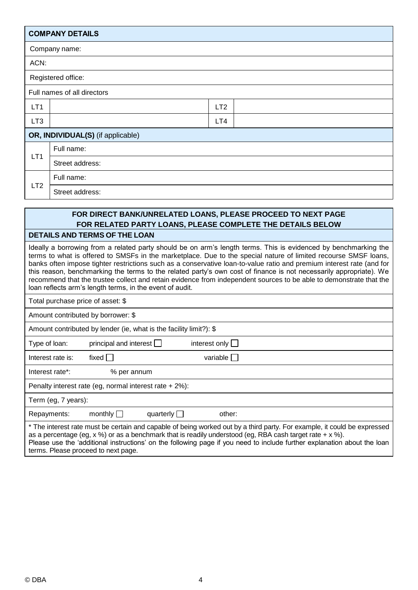|                                   | <b>COMPANY DETAILS</b> |                 |  |
|-----------------------------------|------------------------|-----------------|--|
|                                   | Company name:          |                 |  |
| ACN:                              |                        |                 |  |
|                                   | Registered office:     |                 |  |
| Full names of all directors       |                        |                 |  |
| LT <sub>1</sub>                   |                        | LT <sub>2</sub> |  |
| LT <sub>3</sub>                   |                        | LT4             |  |
| OR, INDIVIDUAL(S) (if applicable) |                        |                 |  |
|                                   | Full name:             |                 |  |
| LT <sub>1</sub>                   | Street address:        |                 |  |
|                                   | Full name:             |                 |  |
| LT <sub>2</sub>                   | Street address:        |                 |  |
|                                   |                        |                 |  |

# **FOR DIRECT BANK/UNRELATED LOANS, PLEASE PROCEED TO NEXT PAGE FOR RELATED PARTY LOANS, PLEASE COMPLETE THE DETAILS BELOW**

#### **DETAILS AND TERMS OF THE LOAN**

Ideally a borrowing from a related party should be on arm's length terms. This is evidenced by benchmarking the terms to what is offered to SMSFs in the marketplace. Due to the special nature of limited recourse SMSF loans, banks often impose tighter restrictions such as a conservative loan-to-value ratio and premium interest rate (and for this reason, benchmarking the terms to the related party's own cost of finance is not necessarily appropriate). We recommend that the trustee collect and retain evidence from independent sources to be able to demonstrate that the loan reflects arm's length terms, in the event of audit.

Total purchase price of asset: \$

Amount contributed by borrower: \$

Amount contributed by lender (ie, what is the facility limit?): \$

| Type of loan: | principal and interes |  |
|---------------|-----------------------|--|
|               |                       |  |

st  $\Box$  interest only  $\Box$ 

Interest rate is:  $fixed \Box$ 

Interest rate\*: % per annum

Penalty interest rate (eg, normal interest rate + 2%):

Term (eg, 7 years):

Repayments: monthly  $\Box$  quarterly  $\Box$  other:

\* The interest rate must be certain and capable of being worked out by a third party. For example, it could be expressed as a percentage (eg, x %) or as a benchmark that is readily understood (eg, RBA cash target rate + x %). Please use the 'additional instructions' on the following page if you need to include further explanation about the loan terms. Please proceed to next page.